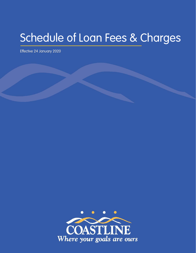# Schedule of Loan Fees & Charges

Effective 24 January 2020

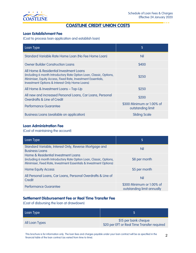

. . . .

# COASTLINE CREDIT UNION COSTS

# Loan Establishment Fee

(Cost to process loan application and establish loan)

| Loan Type                                                                                                                                                                                                                        | \$                                             |
|----------------------------------------------------------------------------------------------------------------------------------------------------------------------------------------------------------------------------------|------------------------------------------------|
| Standard Variable Rate Home Loan (No Fee Home Loan)                                                                                                                                                                              | Nil                                            |
| <b>Owner Builder Construction Loans</b>                                                                                                                                                                                          | \$400                                          |
| All Home & Residential Investment Loans<br>(including 6 month Introductory Rate Option Loan, Classic, Options,<br>Minimiser, Equity Access, Fixed Rate, Investment Essentials,<br>Investment Options & Interest Only Home Loans) | \$250                                          |
| All Home & Investment Loans - Top-Up                                                                                                                                                                                             | \$250                                          |
| All new and increased Personal Loans, Car Loans, Personal<br>Overdrafts & Line of Credit                                                                                                                                         | \$200                                          |
| Performance Guarantee                                                                                                                                                                                                            | \$300 Minimum or 1.00% of<br>outstanding limit |
| Business Loans (available on application)                                                                                                                                                                                        | <b>Sliding Scale</b>                           |

# Loan Administration Fee

(Cost of maintaining the account)

| Loan Type                                                                                                                                                                        | \$                                                      |
|----------------------------------------------------------------------------------------------------------------------------------------------------------------------------------|---------------------------------------------------------|
| Standard Variable, Interest Only, Reverse Mortgage and<br><b>Business Loans</b>                                                                                                  | Nil                                                     |
| Home & Residential Investment Loans<br>(including 6 month Introductory Rate Option Loan, Classic, Options,<br>Minimiser, Fixed Rate, Investment Essentials & Investment Options) | \$8 per month                                           |
| <b>Home Equity Access</b>                                                                                                                                                        | \$5 per month                                           |
| All Personal Loans, Car Loans, Personal Overdrafts & Line of<br>Credit                                                                                                           | Nil                                                     |
| <b>Performance Guarantee</b>                                                                                                                                                     | \$300 Minimum or 1.00% of<br>outstanding limit annually |

# Settlement Disbursement Fee or Real Time Transfer Fee

(Cost of disbursing the loan at drawdown)

| Loan Type      |                                                                     |
|----------------|---------------------------------------------------------------------|
| All Loan Types | \$15 per bank cheque<br>\$20 per EFT or Real Time Transfer required |

2 This brochure is for information only. The loan fees and charges payable under your loan contract will be as specified in the financial table of the loan contract (as varied from time to time).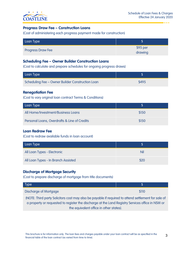

# Progress Draw Fee – Construction Loans

(Cost of administering each progress payment made for construction)

| Loan Type                |                      |
|--------------------------|----------------------|
| <b>Progress Draw Fee</b> | $$95$ per<br>drawing |

#### Scheduling Fee – Owner Builder Construction Loans

(Cost to calculate and prepare schedules for ongoing progress draws)

| Loan Type                                        |       |
|--------------------------------------------------|-------|
| Scheduling Fee - Owner Builder Construction Loan | \$495 |

#### Renegotiation Fee

(Cost to vary original loan contract Terms & Conditions)

| Loan Type                                    |       |
|----------------------------------------------|-------|
| All Home/Investment/Business Loans           | \$150 |
| Personal Loans, Overdrafts & Line of Credits | \$150 |

# Loan Redraw Fee

(Cost to redraw available funds in loan account)

| Loan Type                           |      |
|-------------------------------------|------|
| All Loan Types - Electronic         | Nil  |
| All Loan Types - In Branch Assisted | \$20 |

# Discharge of Mortgage Security

(Cost to prepare discharge of mortgage from title documents)

| Type <sup>1</sup>            |              |
|------------------------------|--------------|
| <b>Discharge of Mortgage</b> | <b>S</b> 110 |

(NOTE: Third party Solicitors cost may also be payable if required to attend settlement for sale of a property or requested to register the discharge at the Land Registry Services office in NSW or the equivalent office in other states).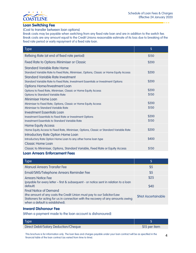

. . . .

# Loan Switching Fee

(Cost to transfer between loan options)

Break costs may be payable when switching from any fixed rate loan and are in addition to the switch fee. Break costs are any amount equal to the Credit Unions reasonable estimate of its loss due to breaking of the fixed rate period or early repayment of a fixed rate loan.

| <b>Type</b>                                                                                                                                              | $\boldsymbol{\mathsf{S}}$ |
|----------------------------------------------------------------------------------------------------------------------------------------------------------|---------------------------|
| Refixing Rate (at end of fixed rate period)                                                                                                              | \$150                     |
| <b>Fixed Rate to Options Minimiser or Classic</b>                                                                                                        | \$200                     |
| <b>Standard Variable Rate Home</b><br>Standard Variable Rate to Fixed Rate, Minimiser, Options, Classic or Home Equity Access                            | \$200                     |
| Standard Variable Rate Investment<br>Standard Variable Rate to Fixed Rate, Investment Essentials or Investment Options                                   | \$200                     |
| Options Home/Investment Loan<br>Options to Fixed Rate, Minimiser, Classic or Home Equity Access<br><b>Options to Standard Variable Rate</b>              | \$200<br>\$150            |
| <b>Minimiser Home Loan</b><br>Minimiser to Fixed Rate, Options, Classic or Home Equity Access<br>Minimiser to Standard Variable Rate                     | \$200<br>\$150            |
| <b>Investment Essentials Loan</b><br>Investment Essentials to Fixed Rate or Investment Options<br><b>Investment Essentials to Standard Variable Rate</b> | \$200<br>\$150            |
| <b>Home Equity Access</b><br>Home Equity Access to Fixed Rate, Minimiser, Options, Classic or Standard Variable Rate                                     | \$200                     |
| Introductory Rate Option Home Loan<br>Introductory Rate Option Home Loan to any other home loan type                                                     | \$400                     |
| <b>Classic Home Loan</b><br>Classic to Minimiser, Options, Standard Variable, Fixed Rate or Equity Access                                                | \$150                     |
| <b>Loan Arrears Enforcement Fees</b>                                                                                                                     |                           |

| Type                                                                                                                                                                                                                             | \$                         |
|----------------------------------------------------------------------------------------------------------------------------------------------------------------------------------------------------------------------------------|----------------------------|
| <b>Manual Arrears Transfer Fee</b>                                                                                                                                                                                               | \$5                        |
| Email/SMS/Telephone Arrears Reminder Fee                                                                                                                                                                                         | \$5                        |
| <b>Arrears Notice Fee</b><br>(payable for every letter - first & subsequent - or notice sent in relation to a loan<br>default)                                                                                                   | \$25<br>\$40               |
| <b>Final Notice of Demand</b><br>(the amount of any costs the Credit Union must pay to our Solicitor/Law<br>Stationers for acting for us in connection with the recovery of any amounts owing<br>when a default is established). | <b>\$Not Ascertainable</b> |

#### Inward Dishonour Fee

(When a payment made to the loan account is dishonoured)

| Type <sup>'</sup>                    |               |  |
|--------------------------------------|---------------|--|
| Direct Debit/Salary Deduction/Cheque | \$15 per item |  |
|                                      |               |  |

4 This brochure is for information only. The loan fees and charges payable under your loan contract will be as specified in the financial table of the loan contract (as varied from time to time).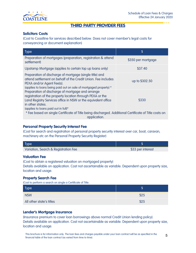

# THIRD PARTY PROVIDER FEES

# Solicitors Costs

(Cost to Coastline for services described below. Does not cover member's legal costs for conveyancing or document explanation)

| <b>Type</b>                                                                                                                                                                                                                                | \$                 |  |
|--------------------------------------------------------------------------------------------------------------------------------------------------------------------------------------------------------------------------------------------|--------------------|--|
| Preparation of mortgages (preparation, registration & attend<br>settlement)                                                                                                                                                                | \$350 per mortgage |  |
| Upstamp Mortgage (applies to certain top up loans only)                                                                                                                                                                                    | \$37.40            |  |
| Preparation of discharge of mortgage (single title) and<br>attend settlement on behalf of the Credit Union. Fee includes<br>PEXA and/or Agent Fee(s).<br>(applies to loans being paid out on sale of mortgaged property) *                 | up to \$302.50     |  |
| Preparation of discharge of mortgage and arrange<br>registration of the property location through PEXA or the<br>Land Registry Services office in NSW or the equivalent office<br>in other states.<br>(applies to loans paid out in full)* | \$330              |  |
| * Fee based on single Certificate of Title being discharged. Additional Certificate of Title costs on<br>application.                                                                                                                      |                    |  |

# Personal Property Security Interest Fee

(Cost for search and registration of personal property security interest over car, boat, caravan, machinery etc on the Personal Property Security Register)

| Type                                 |                   |
|--------------------------------------|-------------------|
| Variation, Search & Registration Fee | \$33 per interest |

# Valuation Fee

(Cost to obtain a registered valuation on mortgaged property) Details available on application. Cost not ascertainable as variable. Dependent upon property size, location and usage.

# Property Search Fee

(Cost to perform a search on single a Certificate of Title.

| Type                     |      |
|--------------------------|------|
| <b>NSW</b>               | \$25 |
| All other state's titles | \$25 |

# Lender's Mortgage Insurance

(Insurance premium to cover loan borrowings above normal Credit Union lending policy). Details available on application. Cost not ascertainable as variable. Dependent upon property size, location and usage.

5 This brochure is for information only. The loan fees and charges payable under your loan contract will be as specified in the financial table of the loan contract (as varied from time to time).